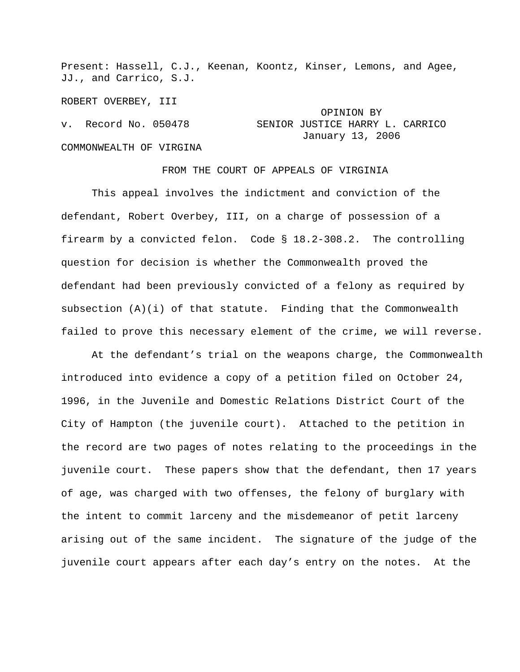Present: Hassell, C.J., Keenan, Koontz, Kinser, Lemons, and Agee, JJ., and Carrico, S.J.

ROBERT OVERBEY, III OPINION BY v. Record No. 050478 SENIOR JUSTICE HARRY L. CARRICO January 13, 2006 COMMONWEALTH OF VIRGINA

## FROM THE COURT OF APPEALS OF VIRGINIA

 This appeal involves the indictment and conviction of the defendant, Robert Overbey, III, on a charge of possession of a firearm by a convicted felon. Code § 18.2-308.2. The controlling question for decision is whether the Commonwealth proved the defendant had been previously convicted of a felony as required by subsection (A)(i) of that statute. Finding that the Commonwealth failed to prove this necessary element of the crime, we will reverse.

 At the defendant's trial on the weapons charge, the Commonwealth introduced into evidence a copy of a petition filed on October 24, 1996, in the Juvenile and Domestic Relations District Court of the City of Hampton (the juvenile court). Attached to the petition in the record are two pages of notes relating to the proceedings in the juvenile court. These papers show that the defendant, then 17 years of age, was charged with two offenses, the felony of burglary with the intent to commit larceny and the misdemeanor of petit larceny arising out of the same incident. The signature of the judge of the juvenile court appears after each day's entry on the notes. At the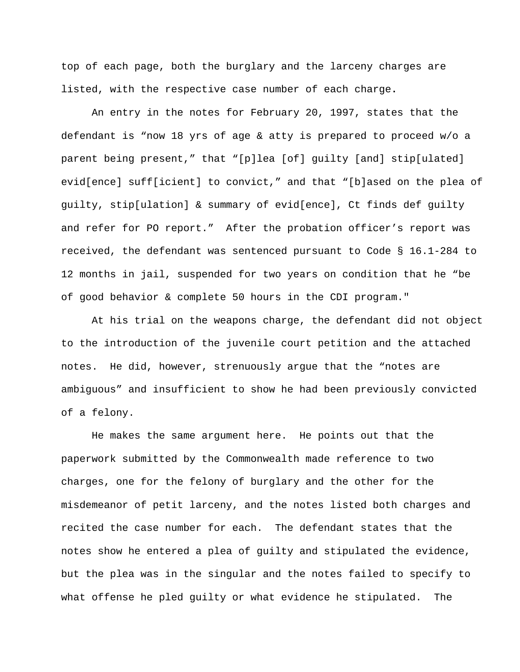top of each page, both the burglary and the larceny charges are listed, with the respective case number of each charge**.** 

 An entry in the notes for February 20, 1997, states that the defendant is "now 18 yrs of age & atty is prepared to proceed w/o a parent being present," that "[p]lea [of] guilty [and] stip[ulated] evid[ence] suff[icient] to convict," and that "[b]ased on the plea of guilty, stip[ulation] & summary of evid[ence], Ct finds def guilty and refer for PO report." After the probation officer's report was received, the defendant was sentenced pursuant to Code § 16.1-284 to 12 months in jail, suspended for two years on condition that he "be of good behavior & complete 50 hours in the CDI program."

 At his trial on the weapons charge, the defendant did not object to the introduction of the juvenile court petition and the attached notes. He did, however, strenuously argue that the "notes are ambiguous" and insufficient to show he had been previously convicted of a felony.

 He makes the same argument here. He points out that the paperwork submitted by the Commonwealth made reference to two charges, one for the felony of burglary and the other for the misdemeanor of petit larceny, and the notes listed both charges and recited the case number for each. The defendant states that the notes show he entered a plea of guilty and stipulated the evidence, but the plea was in the singular and the notes failed to specify to what offense he pled guilty or what evidence he stipulated. The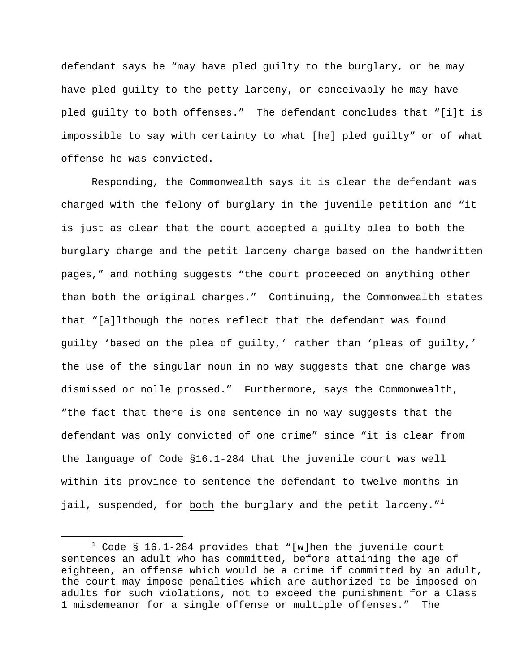defendant says he "may have pled guilty to the burglary, or he may have pled guilty to the petty larceny, or conceivably he may have pled guilty to both offenses." The defendant concludes that "[i]t is impossible to say with certainty to what [he] pled guilty" or of what offense he was convicted.

 Responding, the Commonwealth says it is clear the defendant was charged with the felony of burglary in the juvenile petition and "it is just as clear that the court accepted a guilty plea to both the burglary charge and the petit larceny charge based on the handwritten pages," and nothing suggests "the court proceeded on anything other than both the original charges." Continuing, the Commonwealth states that "[a]lthough the notes reflect that the defendant was found guilty 'based on the plea of guilty,' rather than 'pleas of guilty,' the use of the singular noun in no way suggests that one charge was dismissed or nolle prossed." Furthermore, says the Commonwealth, "the fact that there is one sentence in no way suggests that the defendant was only convicted of one crime" since "it is clear from the language of Code §16.1-284 that the juvenile court was well within its province to sentence the defendant to twelve months in jail, suspended, for both the burglary and the petit larceny."<sup>1</sup>

 $\overline{\phantom{a}}$  $1$  Code § 16.1-284 provides that "[w]hen the juvenile court sentences an adult who has committed, before attaining the age of eighteen, an offense which would be a crime if committed by an adult, the court may impose penalties which are authorized to be imposed on adults for such violations, not to exceed the punishment for a Class 1 misdemeanor for a single offense or multiple offenses." The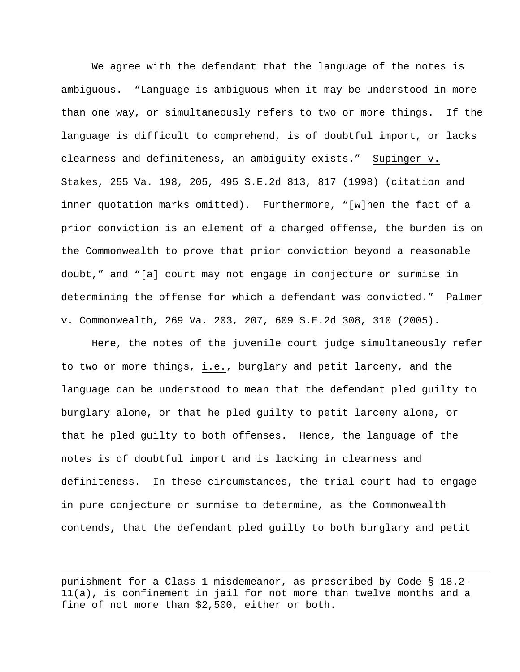We agree with the defendant that the language of the notes is ambiguous. "Language is ambiguous when it may be understood in more than one way, or simultaneously refers to two or more things. If the language is difficult to comprehend, is of doubtful import, or lacks clearness and definiteness, an ambiguity exists." Supinger v. Stakes, 255 Va. 198, 205, 495 S.E.2d 813, 817 (1998) (citation and inner quotation marks omitted). Furthermore, "[w]hen the fact of a prior conviction is an element of a charged offense, the burden is on the Commonwealth to prove that prior conviction beyond a reasonable doubt," and "[a] court may not engage in conjecture or surmise in determining the offense for which a defendant was convicted." Palmer v. Commonwealth, 269 Va. 203, 207, 609 S.E.2d 308, 310 (2005).

 Here, the notes of the juvenile court judge simultaneously refer to two or more things, i.e., burglary and petit larceny, and the language can be understood to mean that the defendant pled guilty to burglary alone, or that he pled guilty to petit larceny alone, or that he pled guilty to both offenses. Hence, the language of the notes is of doubtful import and is lacking in clearness and definiteness. In these circumstances, the trial court had to engage in pure conjecture or surmise to determine, as the Commonwealth contends**,** that the defendant pled guilty to both burglary and petit

punishment for a Class 1 misdemeanor, as prescribed by Code § 18.2- 11(a), is confinement in jail for not more than twelve months and a fine of not more than \$2,500, either or both.

 $\overline{\phantom{0}}$